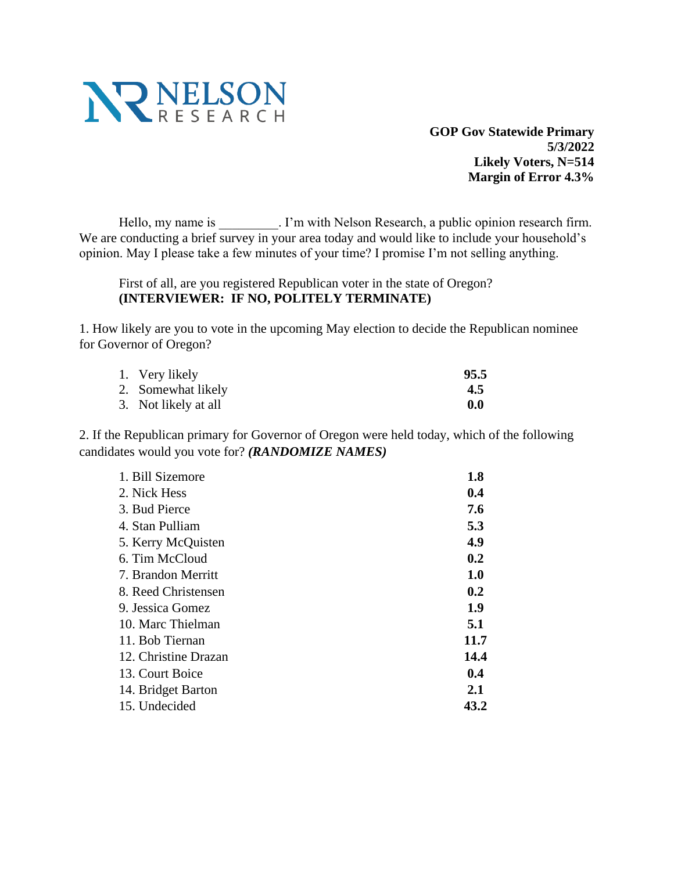

**GOP Gov Statewide Primary 5/3/2022 Likely Voters, N=514 Margin of Error 4.3%**

Hello, my name is \_\_\_\_\_\_\_\_\_\_. I'm with Nelson Research, a public opinion research firm. We are conducting a brief survey in your area today and would like to include your household's opinion. May I please take a few minutes of your time? I promise I'm not selling anything.

First of all, are you registered Republican voter in the state of Oregon? **(INTERVIEWER: IF NO, POLITELY TERMINATE)**

1. How likely are you to vote in the upcoming May election to decide the Republican nominee for Governor of Oregon?

| 1. Very likely       | 95.5 |
|----------------------|------|
| 2. Somewhat likely   | 4.5  |
| 3. Not likely at all | 0.0  |

2. If the Republican primary for Governor of Oregon were held today, which of the following candidates would you vote for? *(RANDOMIZE NAMES)*

| 1. Bill Sizemore     | 1.8  |
|----------------------|------|
| 2. Nick Hess         | 0.4  |
| 3. Bud Pierce        | 7.6  |
| 4. Stan Pulliam      | 5.3  |
| 5. Kerry McQuisten   | 4.9  |
| 6. Tim McCloud       | 0.2  |
| 7. Brandon Merritt   | 1.0  |
| 8. Reed Christensen  | 0.2  |
| 9. Jessica Gomez     | 1.9  |
| 10. Marc Thielman    | 5.1  |
| 11. Bob Tiernan      | 11.7 |
| 12. Christine Drazan | 14.4 |
| 13. Court Boice      | 0.4  |
| 14. Bridget Barton   | 2.1  |
| 15. Undecided        | 43.2 |
|                      |      |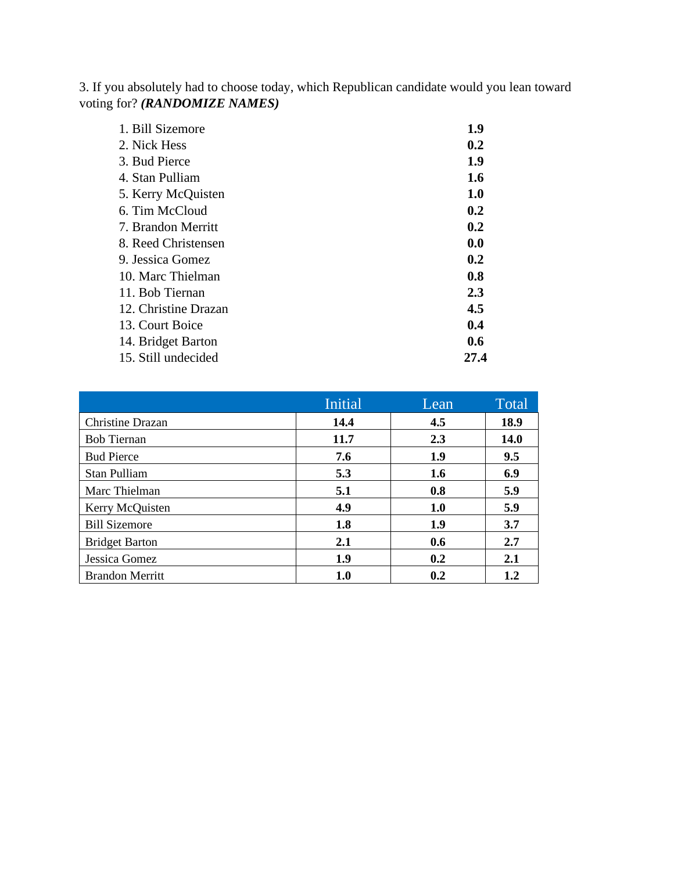3. If you absolutely had to choose today, which Republican candidate would you lean toward voting for? *(RANDOMIZE NAMES)*

| 1. Bill Sizemore     | 1.9  |
|----------------------|------|
| 2. Nick Hess         | 0.2  |
| 3. Bud Pierce        | 1.9  |
| 4. Stan Pulliam      | 1.6  |
| 5. Kerry McQuisten   | 1.0  |
| 6. Tim McCloud       | 0.2  |
| 7. Brandon Merritt   | 0.2  |
| 8. Reed Christensen  | 0.0  |
| 9. Jessica Gomez     | 0.2  |
| 10. Marc Thielman    | 0.8  |
| 11. Bob Tiernan      | 2.3  |
| 12. Christine Drazan | 4.5  |
| 13. Court Boice      | 0.4  |
| 14. Bridget Barton   | 0.6  |
| 15. Still undecided  | 27.4 |

|                        | <b>Initial</b> | Lean | Total   |
|------------------------|----------------|------|---------|
| Christine Drazan       | 14.4           | 4.5  | 18.9    |
| <b>Bob Tiernan</b>     | 11.7           | 2.3  | 14.0    |
| <b>Bud Pierce</b>      | 7.6            | 1.9  | 9.5     |
| Stan Pulliam           | 5.3            | 1.6  | 6.9     |
| Marc Thielman          | 5.1            | 0.8  | 5.9     |
| Kerry McQuisten        | 4.9            | 1.0  | 5.9     |
| <b>Bill Sizemore</b>   | 1.8            | 1.9  | 3.7     |
| <b>Bridget Barton</b>  | 2.1            | 0.6  | 2.7     |
| Jessica Gomez          | 1.9            | 0.2  | 2.1     |
| <b>Brandon Merritt</b> | 1.0            | 0.2  | $1.2\,$ |